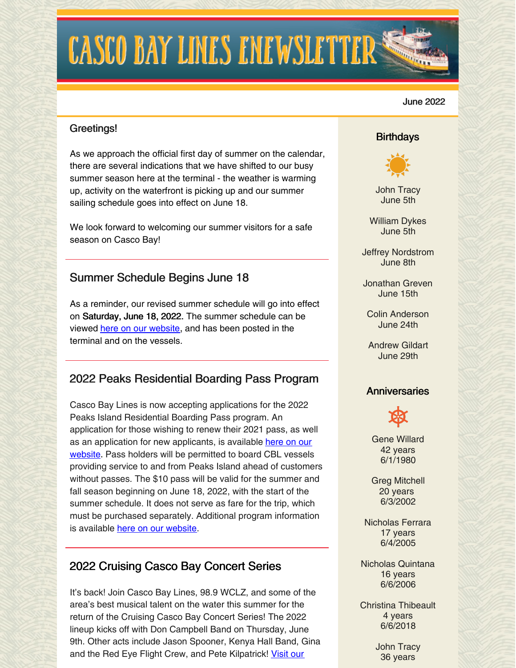# **CASCO BAY LINES ENEWSLETTER**

#### June 2022

## Greetings!

As we approach the official first day of summer on the calendar, there are several indications that we have shifted to our busy summer season here at the terminal - the weather is warming up, activity on the waterfront is picking up and our summer sailing schedule goes into effect on June 18.

We look forward to welcoming our summer visitors for a safe season on Casco Bay!

# Summer Schedule Begins June 18

As a reminder, our revised summer schedule will go into effect on Saturday, June 18, 2022. The summer schedule can be viewed here on our [website](https://www.cascobaylines.com/schedules/), and has been posted in the terminal and on the vessels.

# 2022 Peaks Residential Boarding Pass Program

Casco Bay Lines is now accepting applications for the 2022 Peaks Island Residential Boarding Pass program. An application for those wishing to renew their 2021 pass, as well as an application for new [applicants,](https://www.cascobaylines.com/portland-ferry-rates/peaks-island-residential-boarding-pass/) is available here on our website. Pass holders will be permitted to board CBL vessels providing service to and from Peaks Island ahead of customers without passes. The \$10 pass will be valid for the summer and fall season beginning on June 18, 2022, with the start of the summer schedule. It does not serve as fare for the trip, which must be purchased separately. Additional program information is available here on our [website](https://www.cascobaylines.com/portland-ferry-rates/peaks-island-residential-boarding-pass/).

# 2022 Cruising Casco Bay Concert Series

It's back! Join Casco Bay Lines, 98.9 WCLZ, and some of the area's best musical talent on the water this summer for the return of the Cruising Casco Bay Concert Series! The 2022 lineup kicks off with Don Campbell Band on Thursday, June 9th. Other acts include Jason Spooner, Kenya Hall Band, Gina and the Red Eye Flight Crew, and Pete [Kilpatrick!](https://www.cascobaylines.com/cruisingconcertseries/) Visit our

### **Birthdays**



John Tracy June 5th

William Dykes June 5th

Jeffrey Nordstrom June 8th

Jonathan Greven June 15th

Colin Anderson June 24th

Andrew Gildart June 29th

#### **Anniversaries**



Gene Willard 42 years 6/1/1980

Greg Mitchell 20 years 6/3/2002

Nicholas Ferrara 17 years 6/4/2005

Nicholas Quintana 16 years 6/6/2006

Christina Thibeault 4 years 6/6/2018

> John Tracy 36 years